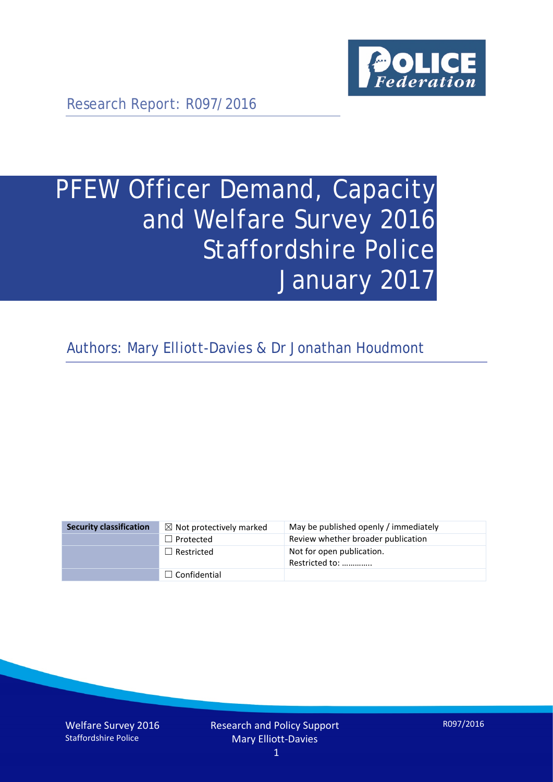

Research Report: R097/2016

# PFEW Officer Demand, Capacity and Welfare Survey 2016 Staffordshire Police January 2017

Authors: Mary Elliott-Davies & Dr Jonathan Houdmont

| <b>Security classification</b> | $\boxtimes$ Not protectively marked | May be published openly / immediately       |
|--------------------------------|-------------------------------------|---------------------------------------------|
|                                | $\Box$ Protected                    | Review whether broader publication          |
|                                | $\Box$ Restricted                   | Not for open publication.<br>Restricted to: |
|                                | $\Box$ Confidential                 |                                             |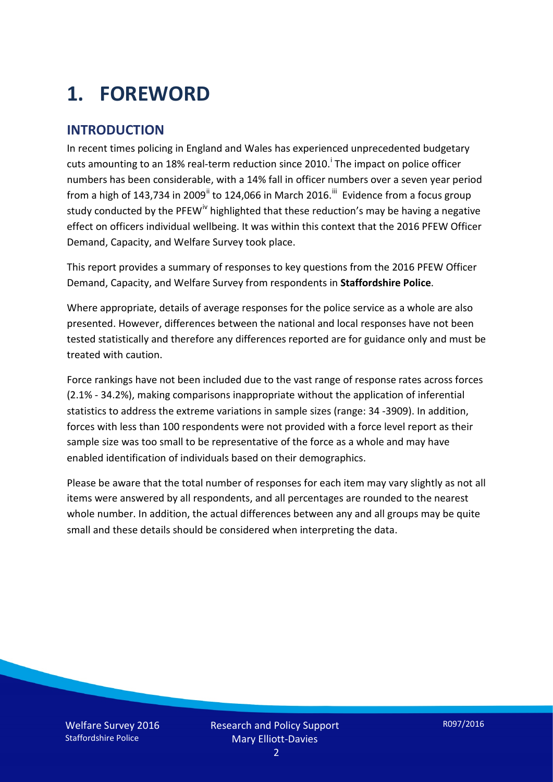# **1. FOREWORD**

### **INTRODUCTION**

In recent times policing in England and Wales has experienced unprecedented budgetary cuts amount[i](#page-15-0)ng to an 18% real-term reduction since 2010.<sup>1</sup> The impact on police officer numbers has been considerable, with a 14% fall in officer numbers over a seven year period from a high of 143,734 in 2009<sup>[ii](#page-15-1)</sup> to 124,066 in March 2016.<sup>[iii](#page-15-2)</sup> Evidence from a focus group study conducted by the PFEW<sup>[iv](#page-15-3)</sup> highlighted that these reduction's may be having a negative effect on officers individual wellbeing. It was within this context that the 2016 PFEW Officer Demand, Capacity, and Welfare Survey took place.

This report provides a summary of responses to key questions from the 2016 PFEW Officer Demand, Capacity, and Welfare Survey from respondents in **Staffordshire Police**.

Where appropriate, details of average responses for the police service as a whole are also presented. However, differences between the national and local responses have not been tested statistically and therefore any differences reported are for guidance only and must be treated with caution.

Force rankings have not been included due to the vast range of response rates across forces (2.1% - 34.2%), making comparisons inappropriate without the application of inferential statistics to address the extreme variations in sample sizes (range: 34 -3909). In addition, forces with less than 100 respondents were not provided with a force level report as their sample size was too small to be representative of the force as a whole and may have enabled identification of individuals based on their demographics.

Please be aware that the total number of responses for each item may vary slightly as not all items were answered by all respondents, and all percentages are rounded to the nearest whole number. In addition, the actual differences between any and all groups may be quite small and these details should be considered when interpreting the data.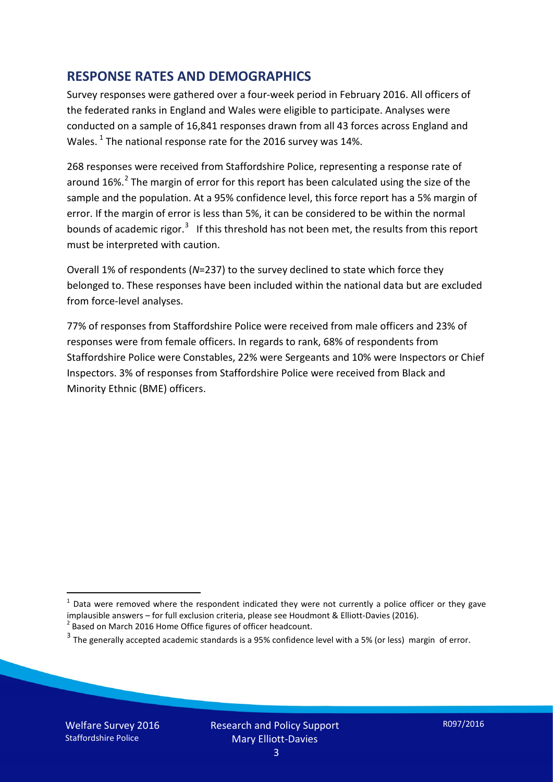### **RESPONSE RATES AND DEMOGRAPHICS**

Survey responses were gathered over a four-week period in February 2016. All officers of the federated ranks in England and Wales were eligible to participate. Analyses were conducted on a sample of 16,841 responses drawn from all 43 forces across England and Wales.  $^1$  $^1$  The national response rate for the 2016 survey was 14%.

268 responses were received from Staffordshire Police, representing a response rate of around 16%.<sup>[2](#page-2-1)</sup> The margin of error for this report has been calculated using the size of the sample and the population. At a 95% confidence level, this force report has a 5% margin of error. If the margin of error is less than 5%, it can be considered to be within the normal bounds of academic rigor.<sup>[3](#page-2-2)</sup> If this threshold has not been met, the results from this report must be interpreted with caution.

Overall 1% of respondents (*N*=237) to the survey declined to state which force they belonged to. These responses have been included within the national data but are excluded from force-level analyses.

77% of responses from Staffordshire Police were received from male officers and 23% of responses were from female officers. In regards to rank, 68% of respondents from Staffordshire Police were Constables, 22% were Sergeants and 10% were Inspectors or Chief Inspectors. 3% of responses from Staffordshire Police were received from Black and Minority Ethnic (BME) officers.

-

<span id="page-2-0"></span> $1$  Data were removed where the respondent indicated they were not currently a police officer or they gave implausible answers – for full exclusion criteria, please see Houdmont & Elliott-Davies (2016).<br><sup>2</sup> Based on March 2016 Home Office figures of officer headcount.

<span id="page-2-1"></span>

<span id="page-2-2"></span> $3$  The generally accepted academic standards is a 95% confidence level with a 5% (or less) margin of error.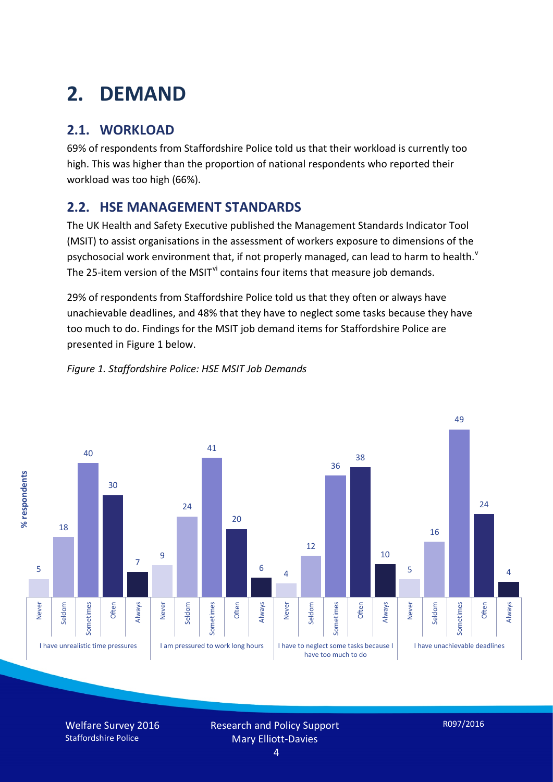# **2. DEMAND**

# **2.1. WORKLOAD**

69% of respondents from Staffordshire Police told us that their workload is currently too high. This was higher than the proportion of national respondents who reported their workload was too high (66%).

## **2.2. HSE MANAGEMENT STANDARDS**

The UK Health and Safety Executive published the Management Standards Indicator Tool (MSIT) to assist organisations in the assessment of workers exposure to dimensions of the psychosocial work en[v](#page-15-4)ironment that, if not properly managed, can lead to harm to health.<sup>v</sup> The 25-item version of the MSIT<sup>[vi](#page-15-5)</sup> contains four items that measure job demands.

29% of respondents from Staffordshire Police told us that they often or always have unachievable deadlines, and 48% that they have to neglect some tasks because they have too much to do. Findings for the MSIT job demand items for Staffordshire Police are presented in Figure 1 below.



#### *Figure 1. Staffordshire Police: HSE MSIT Job Demands*

Welfare Survey 2016 Staffordshire Police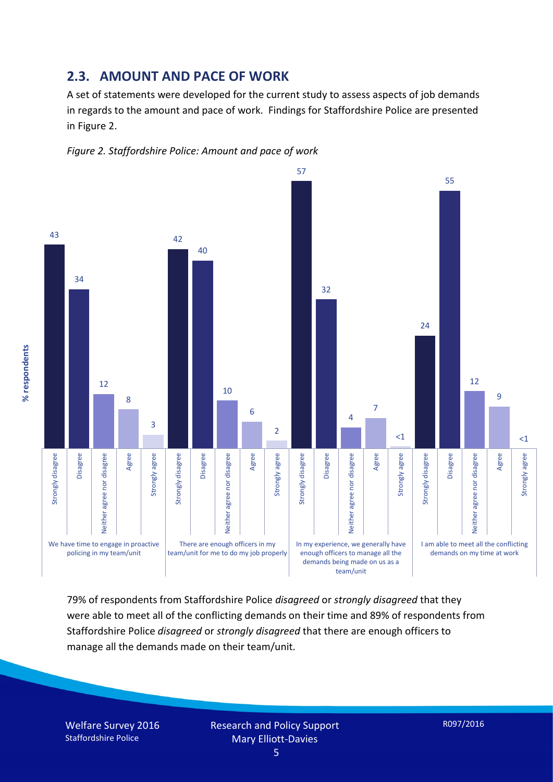#### **2.3. AMOUNT AND PACE OF WORK**

A set of statements were developed for the current study to assess aspects of job demands in regards to the amount and pace of work. Findings for Staffordshire Police are presented in Figure 2.





79% of respondents from Staffordshire Police *disagreed* or *strongly disagreed* that they were able to meet all of the conflicting demands on their time and 89% of respondents from Staffordshire Police *disagreed* or *strongly disagreed* that there are enough officers to manage all the demands made on their team/unit.

Welfare Survey 2016 Staffordshire Police

% respondents **% respondents**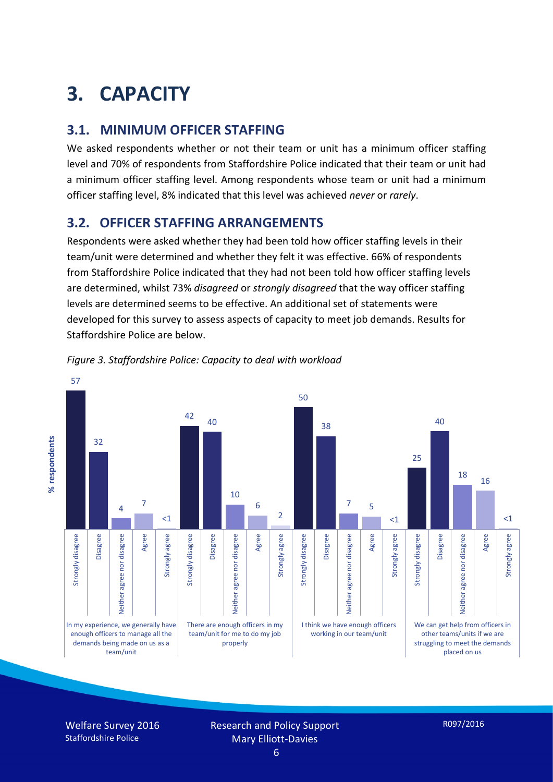# **3. CAPACITY**

## **3.1. MINIMUM OFFICER STAFFING**

We asked respondents whether or not their team or unit has a minimum officer staffing level and 70% of respondents from Staffordshire Police indicated that their team or unit had a minimum officer staffing level. Among respondents whose team or unit had a minimum officer staffing level, 8% indicated that this level was achieved *never* or *rarely*.

## **3.2. OFFICER STAFFING ARRANGEMENTS**

Respondents were asked whether they had been told how officer staffing levels in their team/unit were determined and whether they felt it was effective. 66% of respondents from Staffordshire Police indicated that they had not been told how officer staffing levels are determined, whilst 73% *disagreed* or *strongly disagreed* that the way officer staffing levels are determined seems to be effective. An additional set of statements were developed for this survey to assess aspects of capacity to meet job demands. Results for Staffordshire Police are below.



*Figure 3. Staffordshire Police: Capacity to deal with workload*

Welfare Survey 2016 Staffordshire Police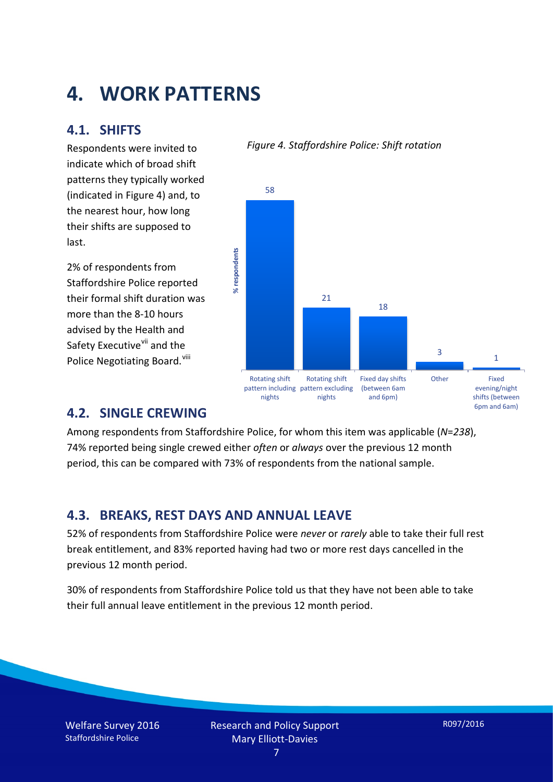# **4. WORK PATTERNS**

### **4.1. SHIFTS**

Respondents were invited to indicate which of broad shift patterns they typically worked (indicated in Figure 4) and, to the nearest hour, how long their shifts are supposed to last.

2% of respondents from Staffordshire Police reported their formal shift duration was more than the 8-10 hours advised by the Health and Safety Executive<sup>[vii](#page-15-6)</sup> and the Police Negotiating Board. Vill

#### *Figure 4. Staffordshire Police: Shift rotation*



### **4.2. SINGLE CREWING**

Among respondents from Staffordshire Police, for whom this item was applicable (*N*=*238*), 74% reported being single crewed either *often* or *always* over the previous 12 month period, this can be compared with 73% of respondents from the national sample.

### **4.3. BREAKS, REST DAYS AND ANNUAL LEAVE**

52% of respondents from Staffordshire Police were *never* or *rarely* able to take their full rest break entitlement, and 83% reported having had two or more rest days cancelled in the previous 12 month period.

30% of respondents from Staffordshire Police told us that they have not been able to take their full annual leave entitlement in the previous 12 month period.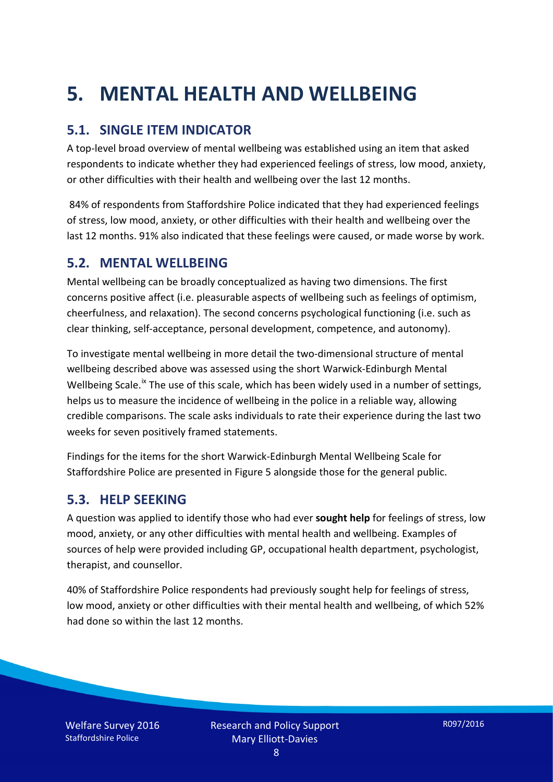# **5. MENTAL HEALTH AND WELLBEING**

## **5.1. SINGLE ITEM INDICATOR**

A top-level broad overview of mental wellbeing was established using an item that asked respondents to indicate whether they had experienced feelings of stress, low mood, anxiety, or other difficulties with their health and wellbeing over the last 12 months.

84% of respondents from Staffordshire Police indicated that they had experienced feelings of stress, low mood, anxiety, or other difficulties with their health and wellbeing over the last 12 months. 91% also indicated that these feelings were caused, or made worse by work.

### **5.2. MENTAL WELLBEING**

Mental wellbeing can be broadly conceptualized as having two dimensions. The first concerns positive affect (i.e. pleasurable aspects of wellbeing such as feelings of optimism, cheerfulness, and relaxation). The second concerns psychological functioning (i.e. such as clear thinking, self-acceptance, personal development, competence, and autonomy).

To investigate mental wellbeing in more detail the two-dimensional structure of mental wellbeing described above was assessed using the short Warwick-Edinburgh Mental Wellbeing Scale.<sup>[ix](#page-15-8)</sup> The use of this scale, which has been widely used in a number of settings, helps us to measure the incidence of wellbeing in the police in a reliable way, allowing credible comparisons. The scale asks individuals to rate their experience during the last two weeks for seven positively framed statements.

Findings for the items for the short Warwick-Edinburgh Mental Wellbeing Scale for Staffordshire Police are presented in Figure 5 alongside those for the general public.

### **5.3. HELP SEEKING**

A question was applied to identify those who had ever **sought help** for feelings of stress, low mood, anxiety, or any other difficulties with mental health and wellbeing. Examples of sources of help were provided including GP, occupational health department, psychologist, therapist, and counsellor.

40% of Staffordshire Police respondents had previously sought help for feelings of stress, low mood, anxiety or other difficulties with their mental health and wellbeing, of which 52% had done so within the last 12 months.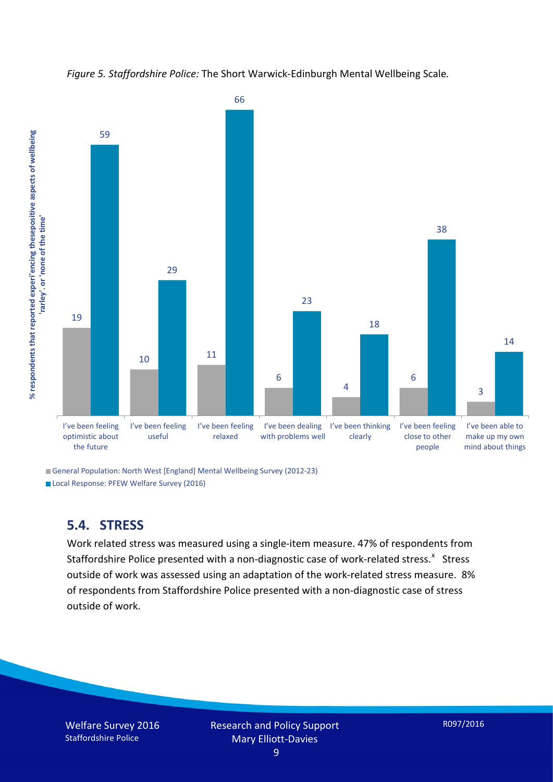*Figure 5. Staffordshire Police:* The Short Warwick-Edinburgh Mental Wellbeing Scale*.*



General Population: North West [England] Mental Wellbeing Survey (2012-23)

Local Response: PFEW Welfare Survey (2016)

### **5.4. STRESS**

Work related stress was measured using a single-item measure. 47% of respondents from Staffordshire Police presented with a non-diagnostic case of work-related stress.<sup>[x](#page-15-9)</sup> Stress outside of work was assessed using an adaptation of the work-related stress measure. 8% of respondents from Staffordshire Police presented with a non-diagnostic case of stress outside of work.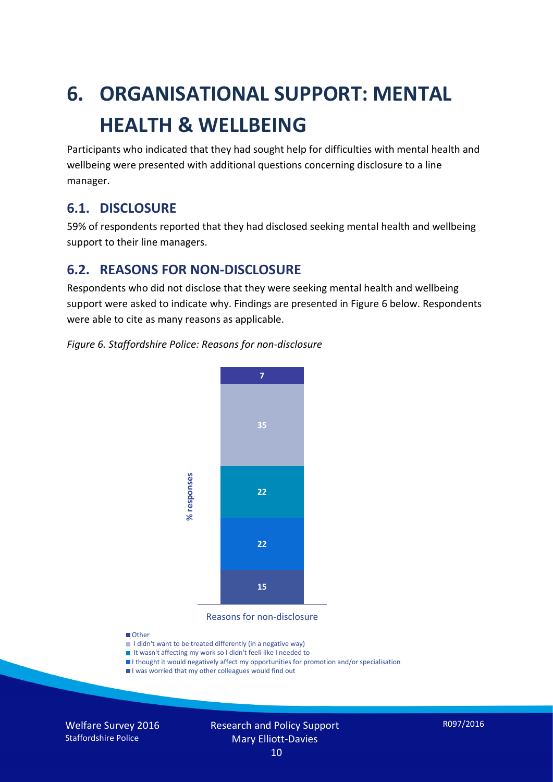# **6. ORGANISATIONAL SUPPORT: MENTAL HEALTH & WELLBEING**

Participants who indicated that they had sought help for difficulties with mental health and wellbeing were presented with additional questions concerning disclosure to a line manager.

### **6.1. DISCLOSURE**

59% of respondents reported that they had disclosed seeking mental health and wellbeing support to their line managers.

### **6.2. REASONS FOR NON-DISCLOSURE**

Respondents who did not disclose that they were seeking mental health and wellbeing support were asked to indicate why. Findings are presented in Figure 6 below. Respondents were able to cite as many reasons as applicable.





Reasons for non-disclosure

#### **D**Other

- I didn't want to be treated differently (in a negative way)
- I It wasn't affecting my work so I didn't feeli like I needed to
- I thought it would negatively affect my opportunities for promotion and/or specialisation
- I was worried that my other colleagues would find out

Welfare Survey 2016 Staffordshire Police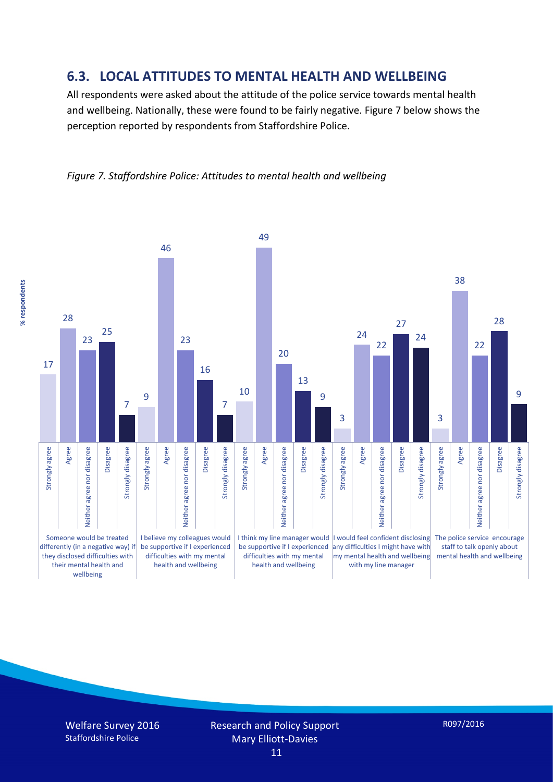### **6.3. LOCAL ATTITUDES TO MENTAL HEALTH AND WELLBEING**

All respondents were asked about the attitude of the police service towards mental health and wellbeing. Nationally, these were found to be fairly negative. Figure 7 below shows the perception reported by respondents from Staffordshire Police.

*Figure 7. Staffordshire Police: Attitudes to mental health and wellbeing*

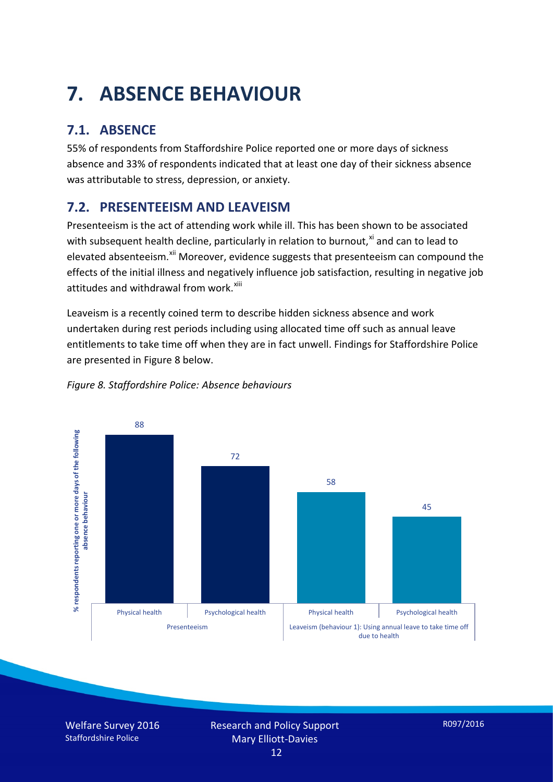# **7. ABSENCE BEHAVIOUR**

# **7.1. ABSENCE**

55% of respondents from Staffordshire Police reported one or more days of sickness absence and 33% of respondents indicated that at least one day of their sickness absence was attributable to stress, depression, or anxiety.

# **7.2. PRESENTEEISM AND LEAVEISM**

Presenteeism is the act of attending work while ill. This has been shown to be associated with subsequent health decline, particularly in relation to burnout, $x_i$  and can to lead to elevated absenteeism.<sup>[xii](#page-16-1)</sup> Moreover, evidence suggests that presenteeism can compound the effects of the initial illness and negatively influence job satisfaction, resulting in negative job attitudes and withdrawal from work.<sup>[xiii](#page-16-2)</sup>

Leaveism is a recently coined term to describe hidden sickness absence and work undertaken during rest periods including using allocated time off such as annual leave entitlements to take time off when they are in fact unwell. Findings for Staffordshire Police are presented in Figure 8 below.



#### *Figure 8. Staffordshire Police: Absence behaviours*

Welfare Survey 2016 Staffordshire Police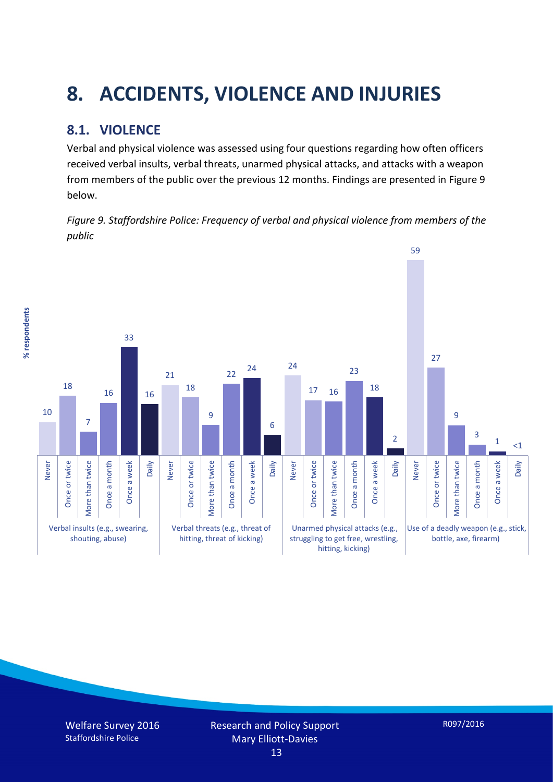# **8. ACCIDENTS, VIOLENCE AND INJURIES**

# **8.1. VIOLENCE**

Verbal and physical violence was assessed using four questions regarding how often officers received verbal insults, verbal threats, unarmed physical attacks, and attacks with a weapon from members of the public over the previous 12 months. Findings are presented in Figure 9 below.

*Figure 9. Staffordshire Police: Frequency of verbal and physical violence from members of the public*

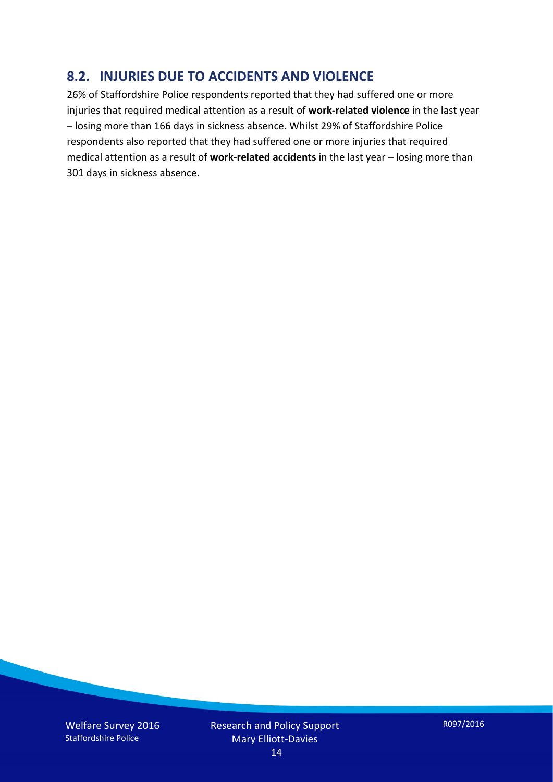### **8.2. INJURIES DUE TO ACCIDENTS AND VIOLENCE**

26% of Staffordshire Police respondents reported that they had suffered one or more injuries that required medical attention as a result of **work-related violence** in the last year – losing more than 166 days in sickness absence. Whilst 29% of Staffordshire Police respondents also reported that they had suffered one or more injuries that required medical attention as a result of **work-related accidents** in the last year – losing more than 301 days in sickness absence.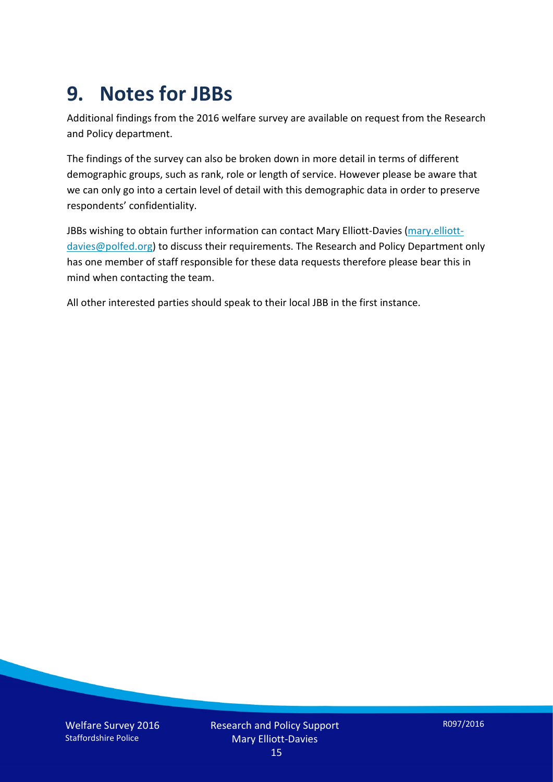# **9. Notes for JBBs**

Additional findings from the 2016 welfare survey are available on request from the Research and Policy department.

The findings of the survey can also be broken down in more detail in terms of different demographic groups, such as rank, role or length of service. However please be aware that we can only go into a certain level of detail with this demographic data in order to preserve respondents' confidentiality.

JBBs wishing to obtain further information can contact Mary Elliott-Davies [\(mary.elliott](mailto:mary.elliott-davies@polfed.org)[davies@polfed.org\)](mailto:mary.elliott-davies@polfed.org) to discuss their requirements. The Research and Policy Department only has one member of staff responsible for these data requests therefore please bear this in mind when contacting the team.

All other interested parties should speak to their local JBB in the first instance.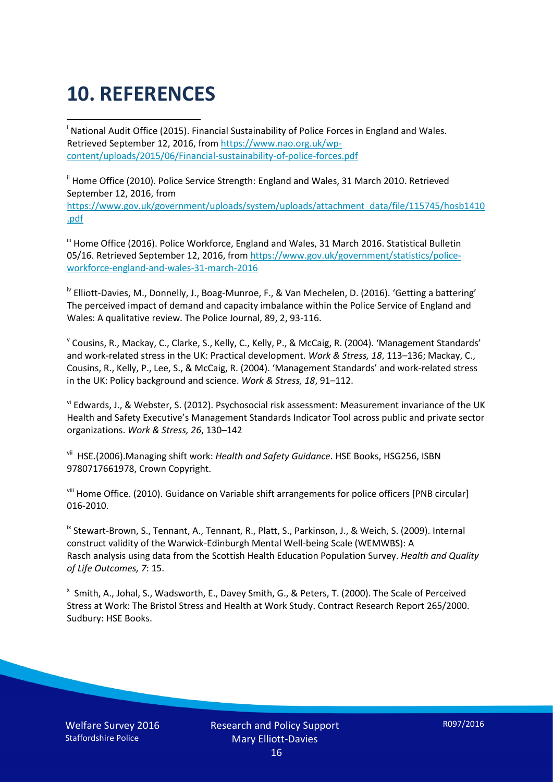# **10. REFERENCES**

<span id="page-15-0"></span>i National Audit Office (2015). Financial Sustainability of Police Forces in England and Wales. Retrieved September 12, 2016, fro[m https://www.nao.org.uk/wp](https://www.nao.org.uk/wp-content/uploads/2015/06/Financial-sustainability-of-police-forces.pdf)[content/uploads/2015/06/Financial-sustainability-of-police-forces.pdf](https://www.nao.org.uk/wp-content/uploads/2015/06/Financial-sustainability-of-police-forces.pdf)

<span id="page-15-1"></span><sup>ii</sup> Home Office (2010). Police Service Strength: England and Wales, 31 March 2010. Retrieved September 12, 2016, from [https://www.gov.uk/government/uploads/system/uploads/attachment\\_data/file/115745/hosb1410](https://www.gov.uk/government/uploads/system/uploads/attachment_data/file/115745/hosb1410.pdf) [.pdf](https://www.gov.uk/government/uploads/system/uploads/attachment_data/file/115745/hosb1410.pdf)

<span id="page-15-2"></span><sup>iii</sup> Home Office (2016). Police Workforce, England and Wales, 31 March 2016. Statistical Bulletin 05/16. Retrieved September 12, 2016, fro[m https://www.gov.uk/government/statistics/police](https://www.gov.uk/government/statistics/police-workforce-england-and-wales-31-march-2016)[workforce-england-and-wales-31-march-2016](https://www.gov.uk/government/statistics/police-workforce-england-and-wales-31-march-2016)

<span id="page-15-3"></span><sup>iv</sup> Elliott-Davies, M., Donnelly, J., Boag-Munroe, F., & Van Mechelen, D. (2016). 'Getting a battering' The perceived impact of demand and capacity imbalance within the Police Service of England and Wales: A qualitative review. The Police Journal, 89, 2, 93-116.

<span id="page-15-4"></span><sup>v</sup> Cousins, R., Mackay, C., Clarke, S., Kelly, C., Kelly, P., & McCaig, R. (2004). 'Management Standards' and work-related stress in the UK: Practical development. *Work & Stress, 18*, 113–136; Mackay, C., Cousins, R., Kelly, P., Lee, S., & McCaig, R. (2004). 'Management Standards' and work-related stress in the UK: Policy background and science. *Work & Stress, 18*, 91–112.

<span id="page-15-5"></span>vi Edwards, J., & Webster, S. (2012). Psychosocial risk assessment: Measurement invariance of the UK Health and Safety Executive's Management Standards Indicator Tool across public and private sector organizations. *Work & Stress, 26*, 130–142

<span id="page-15-6"></span>vii HSE.(2006).Managing shift work: *Health and Safety Guidance*. HSE Books, HSG256, ISBN 9780717661978, Crown Copyright.

<span id="page-15-7"></span>viii Home Office. (2010). Guidance on Variable shift arrangements for police officers [PNB circular] 016-2010.

<span id="page-15-8"></span><sup>ix</sup> Stewart-Brown, S., Tennant, A., Tennant, R., Platt, S., Parkinson, J., & Weich, S. (2009). Internal construct validity of the Warwick-Edinburgh Mental Well-being Scale (WEMWBS): A Rasch analysis using data from the Scottish Health Education Population Survey. *Health and Quality of Life Outcomes, 7*: 15.

<span id="page-15-9"></span>x Smith, A., Johal, S., Wadsworth, E., Davey Smith, G., & Peters, T. (2000). The Scale of Perceived Stress at Work: The Bristol Stress and Health at Work Study. Contract Research Report 265/2000. Sudbury: HSE Books.